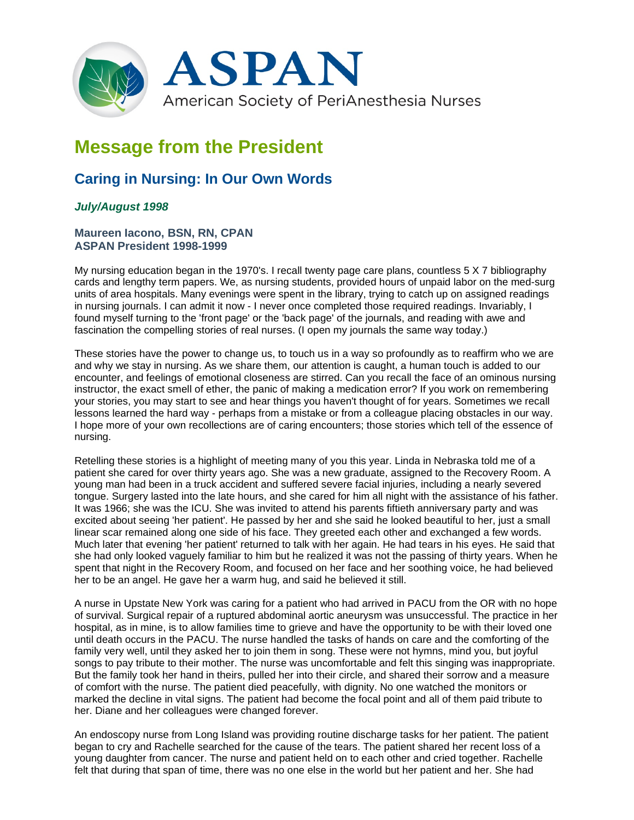

## **Message from the President**

## **Caring in Nursing: In Our Own Words**

## *July/August 1998*

## **Maureen Iacono, BSN, RN, CPAN ASPAN President 1998-1999**

My nursing education began in the 1970's. I recall twenty page care plans, countless 5 X 7 bibliography cards and lengthy term papers. We, as nursing students, provided hours of unpaid labor on the med-surg units of area hospitals. Many evenings were spent in the library, trying to catch up on assigned readings in nursing journals. I can admit it now - I never once completed those required readings. Invariably, I found myself turning to the 'front page' or the 'back page' of the journals, and reading with awe and fascination the compelling stories of real nurses. (I open my journals the same way today.)

These stories have the power to change us, to touch us in a way so profoundly as to reaffirm who we are and why we stay in nursing. As we share them, our attention is caught, a human touch is added to our encounter, and feelings of emotional closeness are stirred. Can you recall the face of an ominous nursing instructor, the exact smell of ether, the panic of making a medication error? If you work on remembering your stories, you may start to see and hear things you haven't thought of for years. Sometimes we recall lessons learned the hard way - perhaps from a mistake or from a colleague placing obstacles in our way. I hope more of your own recollections are of caring encounters; those stories which tell of the essence of nursing.

Retelling these stories is a highlight of meeting many of you this year. Linda in Nebraska told me of a patient she cared for over thirty years ago. She was a new graduate, assigned to the Recovery Room. A young man had been in a truck accident and suffered severe facial injuries, including a nearly severed tongue. Surgery lasted into the late hours, and she cared for him all night with the assistance of his father. It was 1966; she was the ICU. She was invited to attend his parents fiftieth anniversary party and was excited about seeing 'her patient'. He passed by her and she said he looked beautiful to her, just a small linear scar remained along one side of his face. They greeted each other and exchanged a few words. Much later that evening 'her patient' returned to talk with her again. He had tears in his eyes. He said that she had only looked vaguely familiar to him but he realized it was not the passing of thirty years. When he spent that night in the Recovery Room, and focused on her face and her soothing voice, he had believed her to be an angel. He gave her a warm hug, and said he believed it still.

A nurse in Upstate New York was caring for a patient who had arrived in PACU from the OR with no hope of survival. Surgical repair of a ruptured abdominal aortic aneurysm was unsuccessful. The practice in her hospital, as in mine, is to allow families time to grieve and have the opportunity to be with their loved one until death occurs in the PACU. The nurse handled the tasks of hands on care and the comforting of the family very well, until they asked her to join them in song. These were not hymns, mind you, but joyful songs to pay tribute to their mother. The nurse was uncomfortable and felt this singing was inappropriate. But the family took her hand in theirs, pulled her into their circle, and shared their sorrow and a measure of comfort with the nurse. The patient died peacefully, with dignity. No one watched the monitors or marked the decline in vital signs. The patient had become the focal point and all of them paid tribute to her. Diane and her colleagues were changed forever.

An endoscopy nurse from Long Island was providing routine discharge tasks for her patient. The patient began to cry and Rachelle searched for the cause of the tears. The patient shared her recent loss of a young daughter from cancer. The nurse and patient held on to each other and cried together. Rachelle felt that during that span of time, there was no one else in the world but her patient and her. She had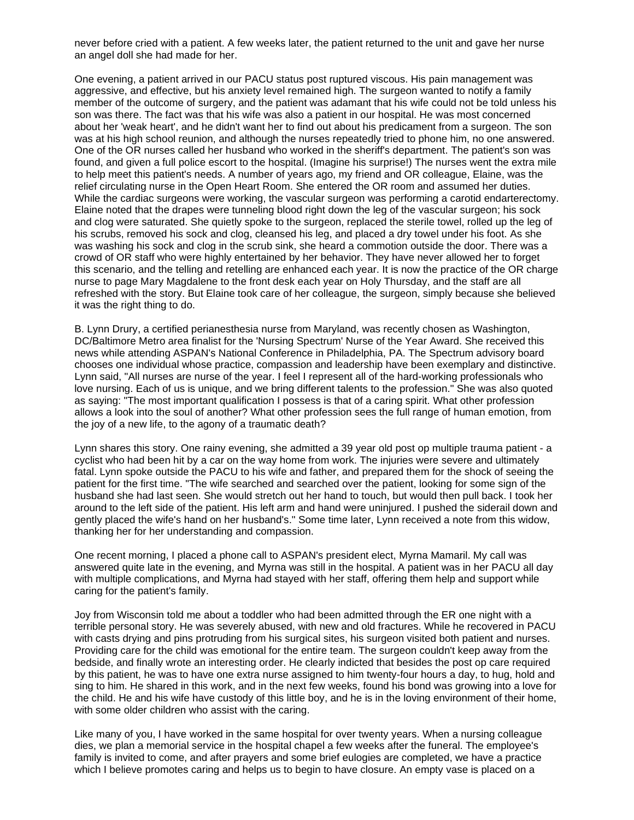never before cried with a patient. A few weeks later, the patient returned to the unit and gave her nurse an angel doll she had made for her.

One evening, a patient arrived in our PACU status post ruptured viscous. His pain management was aggressive, and effective, but his anxiety level remained high. The surgeon wanted to notify a family member of the outcome of surgery, and the patient was adamant that his wife could not be told unless his son was there. The fact was that his wife was also a patient in our hospital. He was most concerned about her 'weak heart', and he didn't want her to find out about his predicament from a surgeon. The son was at his high school reunion, and although the nurses repeatedly tried to phone him, no one answered. One of the OR nurses called her husband who worked in the sheriff's department. The patient's son was found, and given a full police escort to the hospital. (Imagine his surprise!) The nurses went the extra mile to help meet this patient's needs. A number of years ago, my friend and OR colleague, Elaine, was the relief circulating nurse in the Open Heart Room. She entered the OR room and assumed her duties. While the cardiac surgeons were working, the vascular surgeon was performing a carotid endarterectomy. Elaine noted that the drapes were tunneling blood right down the leg of the vascular surgeon; his sock and clog were saturated. She quietly spoke to the surgeon, replaced the sterile towel, rolled up the leg of his scrubs, removed his sock and clog, cleansed his leg, and placed a dry towel under his foot. As she was washing his sock and clog in the scrub sink, she heard a commotion outside the door. There was a crowd of OR staff who were highly entertained by her behavior. They have never allowed her to forget this scenario, and the telling and retelling are enhanced each year. It is now the practice of the OR charge nurse to page Mary Magdalene to the front desk each year on Holy Thursday, and the staff are all refreshed with the story. But Elaine took care of her colleague, the surgeon, simply because she believed it was the right thing to do.

B. Lynn Drury, a certified perianesthesia nurse from Maryland, was recently chosen as Washington, DC/Baltimore Metro area finalist for the 'Nursing Spectrum' Nurse of the Year Award. She received this news while attending ASPAN's National Conference in Philadelphia, PA. The Spectrum advisory board chooses one individual whose practice, compassion and leadership have been exemplary and distinctive. Lynn said, "All nurses are nurse of the year. I feel I represent all of the hard-working professionals who love nursing. Each of us is unique, and we bring different talents to the profession." She was also quoted as saying: "The most important qualification I possess is that of a caring spirit. What other profession allows a look into the soul of another? What other profession sees the full range of human emotion, from the joy of a new life, to the agony of a traumatic death?

Lynn shares this story. One rainy evening, she admitted a 39 year old post op multiple trauma patient - a cyclist who had been hit by a car on the way home from work. The injuries were severe and ultimately fatal. Lynn spoke outside the PACU to his wife and father, and prepared them for the shock of seeing the patient for the first time. "The wife searched and searched over the patient, looking for some sign of the husband she had last seen. She would stretch out her hand to touch, but would then pull back. I took her around to the left side of the patient. His left arm and hand were uninjured. I pushed the siderail down and gently placed the wife's hand on her husband's." Some time later, Lynn received a note from this widow, thanking her for her understanding and compassion.

One recent morning, I placed a phone call to ASPAN's president elect, Myrna Mamaril. My call was answered quite late in the evening, and Myrna was still in the hospital. A patient was in her PACU all day with multiple complications, and Myrna had stayed with her staff, offering them help and support while caring for the patient's family.

Joy from Wisconsin told me about a toddler who had been admitted through the ER one night with a terrible personal story. He was severely abused, with new and old fractures. While he recovered in PACU with casts drying and pins protruding from his surgical sites, his surgeon visited both patient and nurses. Providing care for the child was emotional for the entire team. The surgeon couldn't keep away from the bedside, and finally wrote an interesting order. He clearly indicted that besides the post op care required by this patient, he was to have one extra nurse assigned to him twenty-four hours a day, to hug, hold and sing to him. He shared in this work, and in the next few weeks, found his bond was growing into a love for the child. He and his wife have custody of this little boy, and he is in the loving environment of their home, with some older children who assist with the caring.

Like many of you, I have worked in the same hospital for over twenty years. When a nursing colleague dies, we plan a memorial service in the hospital chapel a few weeks after the funeral. The employee's family is invited to come, and after prayers and some brief eulogies are completed, we have a practice which I believe promotes caring and helps us to begin to have closure. An empty vase is placed on a